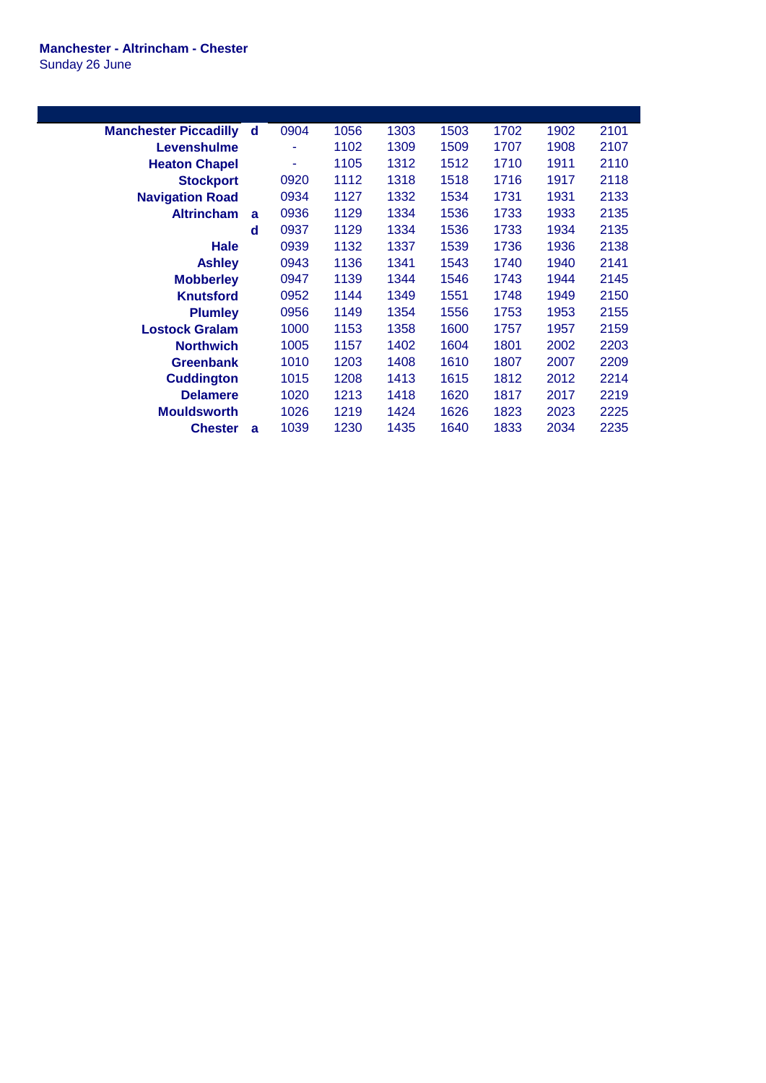## **Manchester - Altrincham - Chester** Sunday 26 June

| <b>Manchester Piccadilly</b> | d | 0904 | 1056 | 1303 | 1503 | 1702 | 1902 | 2101 |
|------------------------------|---|------|------|------|------|------|------|------|
| Levenshulme                  |   |      | 1102 | 1309 | 1509 | 1707 | 1908 | 2107 |
| <b>Heaton Chapel</b>         |   | ۰    | 1105 | 1312 | 1512 | 1710 | 1911 | 2110 |
| <b>Stockport</b>             |   | 0920 | 1112 | 1318 | 1518 | 1716 | 1917 | 2118 |
| <b>Navigation Road</b>       |   | 0934 | 1127 | 1332 | 1534 | 1731 | 1931 | 2133 |
| <b>Altrincham</b>            | a | 0936 | 1129 | 1334 | 1536 | 1733 | 1933 | 2135 |
|                              | d | 0937 | 1129 | 1334 | 1536 | 1733 | 1934 | 2135 |
| Hale                         |   | 0939 | 1132 | 1337 | 1539 | 1736 | 1936 | 2138 |
| <b>Ashley</b>                |   | 0943 | 1136 | 1341 | 1543 | 1740 | 1940 | 2141 |
| <b>Mobberley</b>             |   | 0947 | 1139 | 1344 | 1546 | 1743 | 1944 | 2145 |
| <b>Knutsford</b>             |   | 0952 | 1144 | 1349 | 1551 | 1748 | 1949 | 2150 |
| <b>Plumley</b>               |   | 0956 | 1149 | 1354 | 1556 | 1753 | 1953 | 2155 |
| <b>Lostock Gralam</b>        |   | 1000 | 1153 | 1358 | 1600 | 1757 | 1957 | 2159 |
| <b>Northwich</b>             |   | 1005 | 1157 | 1402 | 1604 | 1801 | 2002 | 2203 |
| <b>Greenbank</b>             |   | 1010 | 1203 | 1408 | 1610 | 1807 | 2007 | 2209 |
| <b>Cuddington</b>            |   | 1015 | 1208 | 1413 | 1615 | 1812 | 2012 | 2214 |
| <b>Delamere</b>              |   | 1020 | 1213 | 1418 | 1620 | 1817 | 2017 | 2219 |
| <b>Mouldsworth</b>           |   | 1026 | 1219 | 1424 | 1626 | 1823 | 2023 | 2225 |
| <b>Chester</b>               | a | 1039 | 1230 | 1435 | 1640 | 1833 | 2034 | 2235 |
|                              |   |      |      |      |      |      |      |      |